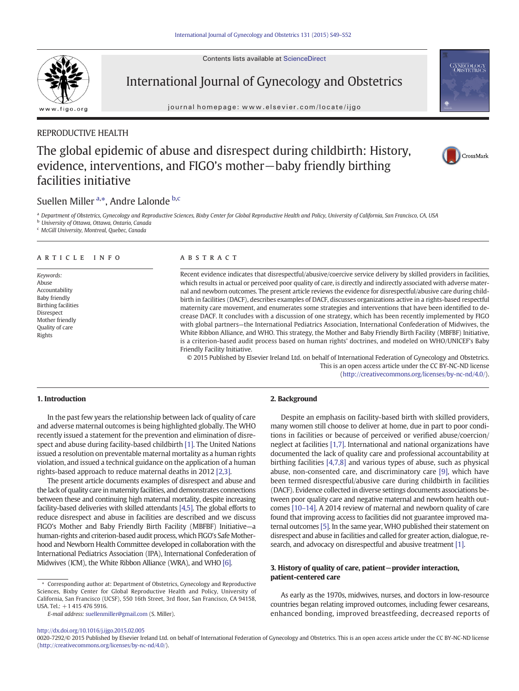Contents lists available at ScienceDirect



# International Journal of Gynecology and Obstetrics

journal homepage:<www.elsevier.com/locate/ijgo>

# REPRODUCTIVE HEALTH

# The global epidemic of abuse and disrespect during childbirth: History, evidence, interventions, and FIGO's mother−baby friendly birthing facilities initiative

# Suellen Miller <sup>a,\*</sup>, Andre Lalonde <sup>b,c</sup>

a Department of Obstetrics, Gynecology and Reproductive Sciences, Bixby Center for Global Reproductive Health and Policy, University of California, San Francisco, CA, USA

# <sup>b</sup> University of Ottawa, Ottawa, Ontario, Canada

<sup>c</sup> McGill University, Montreal, Quebec, Canada

#### article info abstract

Keywords: Abuse Accountability Baby friendly Birthing facilities Disrespect Mother friendly Quality of care Rights

Recent evidence indicates that disrespectful/abusive/coercive service delivery by skilled providers in facilities, which results in actual or perceived poor quality of care, is directly and indirectly associated with adverse maternal and newborn outcomes. The present article reviews the evidence for disrespectful/abusive care during childbirth in facilities (DACF), describes examples of DACF, discusses organizations active in a rights-based respectful maternity care movement, and enumerates some strategies and interventions that have been identified to decrease DACF. It concludes with a discussion of one strategy, which has been recently implemented by FIGO with global partners—the International Pediatrics Association, International Confederation of Midwives, the White Ribbon Alliance, and WHO. This strategy, the Mother and Baby Friendly Birth Facility (MBFBF) Initiative, is a criterion-based audit process based on human rights' doctrines, and modeled on WHO/UNICEF's Baby Friendly Facility Initiative.

© 2015 Published by Elsevier Ireland Ltd. on behalf of International Federation of Gynecology and Obstetrics. This is an open access article under the CC BY-NC-ND license ([http://creativecommons.org/licenses/by-nc-nd/4.0/\)](http://creativecommons.org/licenses/by-nc-nd/4.0/).

# 1. Introduction

In the past few years the relationship between lack of quality of care and adverse maternal outcomes is being highlighted globally. The WHO recently issued a statement for the prevention and elimination of disrespect and abuse during facility-based childbirth [\[1\].](#page-3-0) The United Nations issued a resolution on preventable maternal mortality as a human rights violation, and issued a technical guidance on the application of a human rights-based approach to reduce maternal deaths in 2012 [\[2,3\]](#page-3-0).

The present article documents examples of disrespect and abuse and the lack of quality care in maternity facilities, and demonstrates connections between these and continuing high maternal mortality, despite increasing facility-based deliveries with skilled attendants [\[4,5\]](#page-3-0). The global efforts to reduce disrespect and abuse in facilities are described and we discuss FIGO's Mother and Baby Friendly Birth Facility (MBFBF) Initiative—a human-rights and criterion-based audit process, which FIGO's Safe Motherhood and Newborn Health Committee developed in collaboration with the International Pediatrics Association (IPA), International Confederation of Midwives (ICM), the White Ribbon Alliance (WRA), and WHO [\[6\].](#page-3-0)

# 2. Background

Despite an emphasis on facility-based birth with skilled providers, many women still choose to deliver at home, due in part to poor conditions in facilities or because of perceived or verified abuse/coercion/ neglect at facilities [\[1,7\]](#page-3-0). International and national organizations have documented the lack of quality care and professional accountability at birthing facilities [\[4,7,8\]](#page-3-0) and various types of abuse, such as physical abuse, non-consented care, and discriminatory care [\[9\],](#page-3-0) which have been termed disrespectful/abusive care during childbirth in facilities (DACF). Evidence collected in diverse settings documents associations between poor quality care and negative maternal and newborn health outcomes [\[10](#page-3-0)–14]. A 2014 review of maternal and newborn quality of care found that improving access to facilities did not guarantee improved maternal outcomes [\[5\].](#page-3-0) In the same year, WHO published their statement on disrespect and abuse in facilities and called for greater action, dialogue, research, and advocacy on disrespectful and abusive treatment [\[1\]](#page-3-0).

# 3. History of quality of care, patient−provider interaction, patient-centered care

As early as the 1970s, midwives, nurses, and doctors in low-resource countries began relating improved outcomes, including fewer cesareans, enhanced bonding, improved breastfeeding, decreased reports of

<http://dx.doi.org/10.1016/j.ijgo.2015.02.005>



CrossMark

<sup>⁎</sup> Corresponding author at: Department of Obstetrics, Gynecology and Reproductive Sciences, Bixby Center for Global Reproductive Health and Policy, University of California, San Francisco (UCSF), 550 16th Street, 3rd floor, San Francisco, CA 94158, USA. Tel.: +1 415 476 5916.

E-mail address: [suellenmiller@gmail.com](mailto:suellenmiller@gmail.com) (S. Miller).

<sup>0020-7292/© 2015</sup> Published by Elsevier Ireland Ltd. on behalf of International Federation of Gynecology and Obstetrics. This is an open access article under the CC BY-NC-ND license [\(http://creativecommons.org/licenses/by-nc-nd/4.0/\)](http://creativecommons.org/licenses/by-nc-nd/4.0/).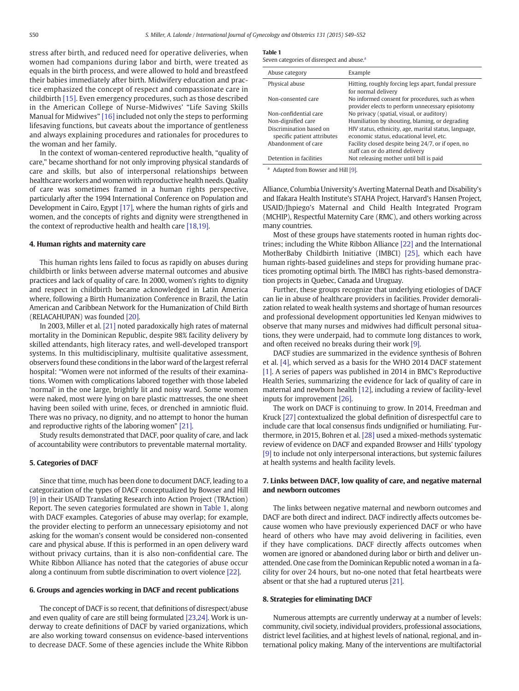stress after birth, and reduced need for operative deliveries, when women had companions during labor and birth, were treated as equals in the birth process, and were allowed to hold and breastfeed their babies immediately after birth. Midwifery education and practice emphasized the concept of respect and compassionate care in childbirth [\[15\]](#page-3-0). Even emergency procedures, such as those described in the American College of Nurse-Midwives' "Life Saving Skills Manual for Midwives" [\[16\]](#page-3-0) included not only the steps to performing lifesaving functions, but caveats about the importance of gentleness and always explaining procedures and rationales for procedures to the woman and her family.

In the context of woman-centered reproductive health, "quality of care," became shorthand for not only improving physical standards of care and skills, but also of interpersonal relationships between healthcare workers and women with reproductive health needs. Quality of care was sometimes framed in a human rights perspective, particularly after the 1994 International Conference on Population and Development in Cairo, Egypt [\[17\]](#page-3-0), where the human rights of girls and women, and the concepts of rights and dignity were strengthened in the context of reproductive health and health care [\[18,19\]](#page-3-0).

# 4. Human rights and maternity care

This human rights lens failed to focus as rapidly on abuses during childbirth or links between adverse maternal outcomes and abusive practices and lack of quality of care. In 2000, women's rights to dignity and respect in childbirth became acknowledged in Latin America where, following a Birth Humanization Conference in Brazil, the Latin American and Caribbean Network for the Humanization of Child Birth (RELACAHUPAN) was founded [\[20\]](#page-3-0).

In 2003, Miller et al. [\[21\]](#page-3-0) noted paradoxically high rates of maternal mortality in the Dominican Republic, despite 98% facility delivery by skilled attendants, high literacy rates, and well-developed transport systems. In this multidisciplinary, multisite qualitative assessment, observers found these conditions in the labor ward of the largest referral hospital: "Women were not informed of the results of their examinations. Women with complications labored together with those labeled 'normal' in the one large, brightly lit and noisy ward. Some women were naked, most were lying on bare plastic mattresses, the one sheet having been soiled with urine, feces, or drenched in amniotic fluid. There was no privacy, no dignity, and no attempt to honor the human and reproductive rights of the laboring women" [\[21\]](#page-3-0).

Study results demonstrated that DACF, poor quality of care, and lack of accountability were contributors to preventable maternal mortality.

## 5. Categories of DACF

Since that time, much has been done to document DACF, leading to a categorization of the types of DACF conceptualized by Bowser and Hill [\[9\]](#page-3-0) in their USAID Translating Research into Action Project (TRAction) Report. The seven categories formulated are shown in Table 1, along with DACF examples. Categories of abuse may overlap; for example, the provider electing to perform an unnecessary episiotomy and not asking for the woman's consent would be considered non-consented care and physical abuse. If this is performed in an open delivery ward without privacy curtains, than it is also non-confidential care. The White Ribbon Alliance has noted that the categories of abuse occur along a continuum from subtle discrimination to overt violence [\[22\].](#page-3-0)

#### 6. Groups and agencies working in DACF and recent publications

The concept of DACF is so recent, that definitions of disrespect/abuse and even quality of care are still being formulated [\[23,24\]](#page-3-0). Work is underway to create definitions of DACF by varied organizations, which are also working toward consensus on evidence-based interventions to decrease DACF. Some of these agencies include the White Ribbon

| Abuse category                                         | Example                                                                                               |
|--------------------------------------------------------|-------------------------------------------------------------------------------------------------------|
| Physical abuse                                         | Hitting, roughly forcing legs apart, fundal pressure<br>for normal delivery                           |
| Non-consented care                                     | No informed consent for procedures, such as when<br>provider elects to perform unnecessary episiotomy |
| Non-confidential care                                  | No privacy (spatial, visual, or auditory)                                                             |
| Non-dignified care                                     | Humiliation by shouting, blaming, or degrading                                                        |
| Discrimination based on<br>specific patient attributes | HIV status, ethnicity, age, marital status, language,<br>economic status, educational level, etc.     |
| Abandonment of care                                    | Facility closed despite being 24/7, or if open, no                                                    |
|                                                        | staff can or do attend delivery                                                                       |
| Detention in facilities                                | Not releasing mother until bill is paid                                                               |

<sup>a</sup> Adapted from Bowser and Hill [\[9\].](#page-3-0)

Alliance, Columbia University's Averting Maternal Death and Disability's and Ifakara Health Institute's STAHA Project, Harvard's Hansen Project, USAID/Jhpiego's Maternal and Child Health Integrated Program (MCHIP), Respectful Maternity Care (RMC), and others working across many countries.

Most of these groups have statements rooted in human rights doctrines; including the White Ribbon Alliance [\[22\]](#page-3-0) and the International MotherBaby Childbirth Initiative (IMBCI) [\[25\],](#page-3-0) which each have human rights-based guidelines and steps for providing humane practices promoting optimal birth. The IMBCI has rights-based demonstration projects in Quebec, Canada and Uruguay.

Further, these groups recognize that underlying etiologies of DACF can lie in abuse of healthcare providers in facilities. Provider demoralization related to weak health systems and shortage of human resources and professional development opportunities led Kenyan midwives to observe that many nurses and midwives had difficult personal situations, they were underpaid, had to commute long distances to work, and often received no breaks during their work [\[9\].](#page-3-0)

DACF studies are summarized in the evidence synthesis of Bohren et al. [\[4\]](#page-3-0), which served as a basis for the WHO 2014 DACF statement [\[1\]](#page-3-0). A series of papers was published in 2014 in BMC's Reproductive Health Series, summarizing the evidence for lack of quality of care in maternal and newborn health [\[12\]](#page-3-0), including a review of facility-level inputs for improvement [\[26\]](#page-3-0).

The work on DACF is continuing to grow. In 2014, Freedman and Kruck [\[27\]](#page-3-0) contextualized the global definition of disrespectful care to include care that local consensus finds undignified or humiliating. Furthermore, in 2015, Bohren et al. [\[28\]](#page-3-0) used a mixed-methods systematic review of evidence on DACF and expanded Browser and Hills' typology [\[9\]](#page-3-0) to include not only interpersonal interactions, but systemic failures at health systems and health facility levels.

# 7. Links between DACF, low quality of care, and negative maternal and newborn outcomes

The links between negative maternal and newborn outcomes and DACF are both direct and indirect. DACF indirectly affects outcomes because women who have previously experienced DACF or who have heard of others who have may avoid delivering in facilities, even if they have complications. DACF directly affects outcomes when women are ignored or abandoned during labor or birth and deliver unattended. One case from the Dominican Republic noted a woman in a facility for over 24 hours, but no-one noted that fetal heartbeats were absent or that she had a ruptured uterus [\[21\].](#page-3-0)

#### 8. Strategies for eliminating DACF

Numerous attempts are currently underway at a number of levels: community, civil society, individual providers, professional associations, district level facilities, and at highest levels of national, regional, and international policy making. Many of the interventions are multifactorial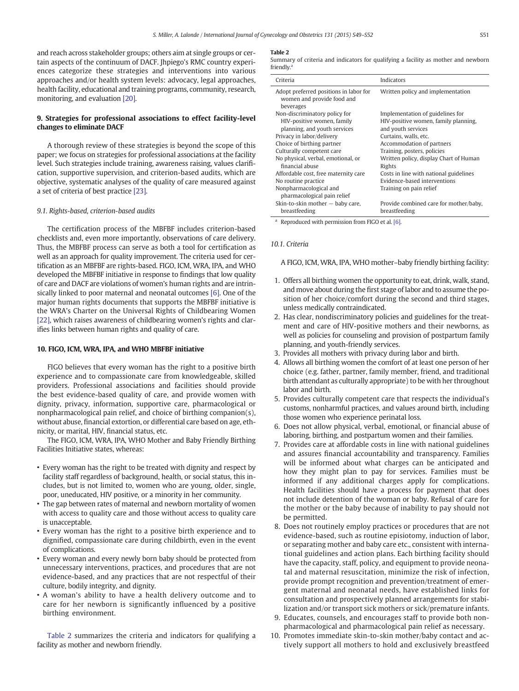and reach across stakeholder groups; others aim at single groups or certain aspects of the continuum of DACF. Jhpiego's RMC country experiences categorize these strategies and interventions into various approaches and/or health system levels: advocacy, legal approaches, health facility, educational and training programs, community, research, monitoring, and evaluation [\[20\]](#page-3-0).

# 9. Strategies for professional associations to effect facility-level changes to eliminate DACF

A thorough review of these strategies is beyond the scope of this paper; we focus on strategies for professional associations at the facility level. Such strategies include training, awareness raising, values clarification, supportive supervision, and criterion-based audits, which are objective, systematic analyses of the quality of care measured against a set of criteria of best practice [\[23\].](#page-3-0)

## 9.1. Rights-based, criterion-based audits

The certification process of the MBFBF includes criterion-based checklists and, even more importantly, observations of care delivery. Thus, the MBFBF process can serve as both a tool for certification as well as an approach for quality improvement. The criteria used for certification as an MBFBF are rights-based. FIGO, ICM, WRA, IPA, and WHO developed the MBFBF initiative in response to findings that low quality of care and DACF are violations of women's human rights and are intrinsically linked to poor maternal and neonatal outcomes [\[6\].](#page-3-0) One of the major human rights documents that supports the MBFBF initiative is the WRA's Charter on the Universal Rights of Childbearing Women [\[22\]](#page-3-0), which raises awareness of childbearing women's rights and clarifies links between human rights and quality of care.

#### 10. FIGO, ICM, WRA, IPA, and WHO MBFBF initiative

FIGO believes that every woman has the right to a positive birth experience and to compassionate care from knowledgeable, skilled providers. Professional associations and facilities should provide the best evidence-based quality of care, and provide women with dignity, privacy, information, supportive care, pharmacological or nonpharmacological pain relief, and choice of birthing companion(s), without abuse, financial extortion, or differential care based on age, ethnicity, or marital, HIV, financial status, etc.

The FIGO, ICM, WRA, IPA, WHO Mother and Baby Friendly Birthing Facilities Initiative states, whereas:

- Every woman has the right to be treated with dignity and respect by facility staff regardless of background, health, or social status, this includes, but is not limited to, women who are young, older, single, poor, uneducated, HIV positive, or a minority in her community.
- The gap between rates of maternal and newborn mortality of women with access to quality care and those without access to quality care is unacceptable.
- Every woman has the right to a positive birth experience and to dignified, compassionate care during childbirth, even in the event of complications.
- Every woman and every newly born baby should be protected from unnecessary interventions, practices, and procedures that are not evidence-based, and any practices that are not respectful of their culture, bodily integrity, and dignity.
- A woman's ability to have a health delivery outcome and to care for her newborn is significantly influenced by a positive birthing environment.

Table 2 summarizes the criteria and indicators for qualifying a facility as mother and newborn friendly.

#### Table 2

Summary of criteria and indicators for qualifying a facility as mother and newborn friendly.<sup>a</sup>

| Criteria                                                                          | Indicators                             |
|-----------------------------------------------------------------------------------|----------------------------------------|
| Adopt preferred positions in labor for<br>women and provide food and<br>beverages | Written policy and implementation      |
| Non-discriminatory policy for                                                     | Implementation of guidelines for       |
| HIV-positive women, family                                                        | HIV-positive women, family planning,   |
| planning, and youth services                                                      | and youth services                     |
| Privacy in labor/delivery                                                         | Curtains, walls, etc.                  |
| Choice of birthing partner                                                        | Accommodation of partners              |
| Culturally competent care                                                         | Training, posters, policies            |
| No physical, verbal, emotional, or                                                | Written policy, display Chart of Human |
| financial abuse                                                                   | Rights                                 |
| Affordable cost, free maternity care                                              | Costs in line with national guidelines |
| No routine practice                                                               | Evidence-based interventions           |
| Nonpharmacological and                                                            | Training on pain relief                |
| pharmacological pain relief                                                       |                                        |
| Skin-to-skin mother $-$ baby care,                                                | Provide combined care for mother/baby, |
| breastfeeding                                                                     | breastfeeding                          |

<sup>a</sup> Reproduced with permission from FIGO et al. [\[6\].](#page-3-0)

#### 10.1. Criteria

A FIGO, ICM, WRA, IPA, WHO mother–baby friendly birthing facility:

- 1. Offers all birthing women the opportunity to eat, drink, walk, stand, and move about during the first stage of labor and to assume the position of her choice/comfort during the second and third stages, unless medically contraindicated.
- 2. Has clear, nondiscriminatory policies and guidelines for the treatment and care of HIV-positive mothers and their newborns, as well as policies for counseling and provision of postpartum family planning, and youth-friendly services.
- 3. Provides all mothers with privacy during labor and birth.
- 4. Allows all birthing women the comfort of at least one person of her choice (e.g. father, partner, family member, friend, and traditional birth attendant as culturally appropriate) to be with her throughout labor and birth.
- 5. Provides culturally competent care that respects the individual's customs, nonharmful practices, and values around birth, including those women who experience perinatal loss.
- 6. Does not allow physical, verbal, emotional, or financial abuse of laboring, birthing, and postpartum women and their families.
- 7. Provides care at affordable costs in line with national guidelines and assures financial accountability and transparency. Families will be informed about what charges can be anticipated and how they might plan to pay for services. Families must be informed if any additional charges apply for complications. Health facilities should have a process for payment that does not include detention of the woman or baby. Refusal of care for the mother or the baby because of inability to pay should not be permitted.
- 8. Does not routinely employ practices or procedures that are not evidence-based, such as routine episiotomy, induction of labor, or separating mother and baby care etc., consistent with international guidelines and action plans. Each birthing facility should have the capacity, staff, policy, and equipment to provide neonatal and maternal resuscitation, minimize the risk of infection, provide prompt recognition and prevention/treatment of emergent maternal and neonatal needs, have established links for consultation and prospectively planned arrangements for stabilization and/or transport sick mothers or sick/premature infants.
- 9. Educates, counsels, and encourages staff to provide both nonpharmacological and pharmacological pain relief as necessary.
- 10. Promotes immediate skin-to-skin mother/baby contact and actively support all mothers to hold and exclusively breastfeed